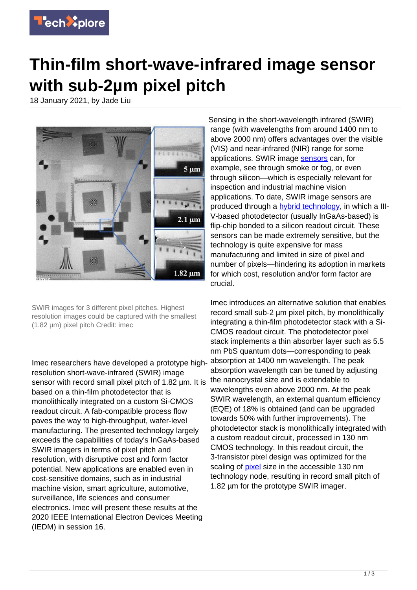

## **Thin-film short-wave-infrared image sensor with sub-2µm pixel pitch**

18 January 2021, by Jade Liu



SWIR images for 3 different pixel pitches. Highest resolution images could be captured with the smallest (1.82 µm) pixel pitch Credit: imec

Imec researchers have developed a prototype highresolution short-wave-infrared (SWIR) image sensor with record small pixel pitch of 1.82 um. It is based on a thin-film photodetector that is monolithically integrated on a custom Si-CMOS readout circuit. A fab-compatible process flow paves the way to high-throughput, wafer-level manufacturing. The presented technology largely exceeds the capabilities of today's InGaAs-based SWIR imagers in terms of pixel pitch and resolution, with disruptive cost and form factor potential. New applications are enabled even in cost-sensitive domains, such as in industrial machine vision, smart agriculture, automotive, surveillance, life sciences and consumer electronics. Imec will present these results at the 2020 IEEE International Electron Devices Meeting (IEDM) in session 16.

Sensing in the short-wavelength infrared (SWIR) range (with wavelengths from around 1400 nm to above 2000 nm) offers advantages over the visible (VIS) and near-infrared (NIR) range for some applications. SWIR image [sensors](https://techxplore.com/tags/sensors/) can, for example, see through smoke or fog, or even through silicon—which is especially relevant for inspection and industrial machine vision applications. To date, SWIR image sensors are produced through a **[hybrid technology](https://techxplore.com/tags/hybrid+technology/)**, in which a III-V-based photodetector (usually InGaAs-based) is flip-chip bonded to a silicon readout circuit. These sensors can be made extremely sensitive, but the technology is quite expensive for mass manufacturing and limited in size of pixel and number of pixels—hindering its adoption in markets for which cost, resolution and/or form factor are crucial.

Imec introduces an alternative solution that enables record small sub-2 µm pixel pitch, by monolithically integrating a thin-film photodetector stack with a Si-CMOS readout circuit. The photodetector pixel stack implements a thin absorber layer such as 5.5 nm PbS quantum dots—corresponding to peak absorption at 1400 nm wavelength. The peak absorption wavelength can be tuned by adjusting the nanocrystal size and is extendable to wavelengths even above 2000 nm. At the peak SWIR wavelength, an external quantum efficiency (EQE) of 18% is obtained (and can be upgraded towards 50% with further improvements). The photodetector stack is monolithically integrated with a custom readout circuit, processed in 130 nm CMOS technology. In this readout circuit, the 3-transistor pixel design was optimized for the scaling of **pixel** size in the accessible 130 nm technology node, resulting in record small pitch of 1.82 um for the prototype SWIR imager.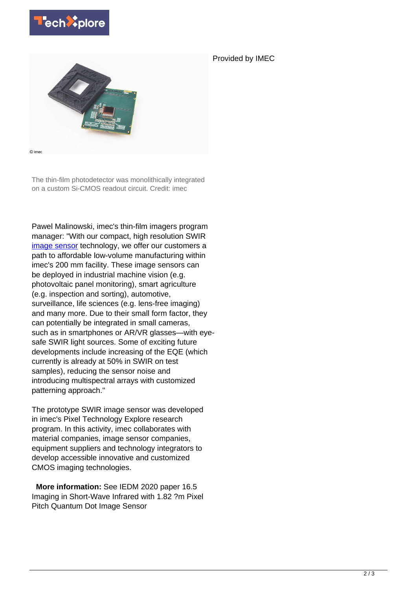

Provided by IMEC



The thin-film photodetector was monolithically integrated on a custom Si-CMOS readout circuit. Credit: imec

Pawel Malinowski, imec's thin-film imagers program manager: "With our compact, high resolution SWIR [image sensor](https://techxplore.com/tags/image+sensor/) technology, we offer our customers a path to affordable low-volume manufacturing within imec's 200 mm facility. These image sensors can be deployed in industrial machine vision (e.g. photovoltaic panel monitoring), smart agriculture (e.g. inspection and sorting), automotive, surveillance, life sciences (e.g. lens-free imaging) and many more. Due to their small form factor, they can potentially be integrated in small cameras, such as in smartphones or AR/VR glasses—with eyesafe SWIR light sources. Some of exciting future developments include increasing of the EQE (which currently is already at 50% in SWIR on test samples), reducing the sensor noise and introducing multispectral arrays with customized patterning approach."

The prototype SWIR image sensor was developed in imec's Pixel Technology Explore research program. In this activity, imec collaborates with material companies, image sensor companies, equipment suppliers and technology integrators to develop accessible innovative and customized CMOS imaging technologies.

 **More information:** See IEDM 2020 paper 16.5 Imaging in Short-Wave Infrared with 1.82 ?m Pixel Pitch Quantum Dot Image Sensor